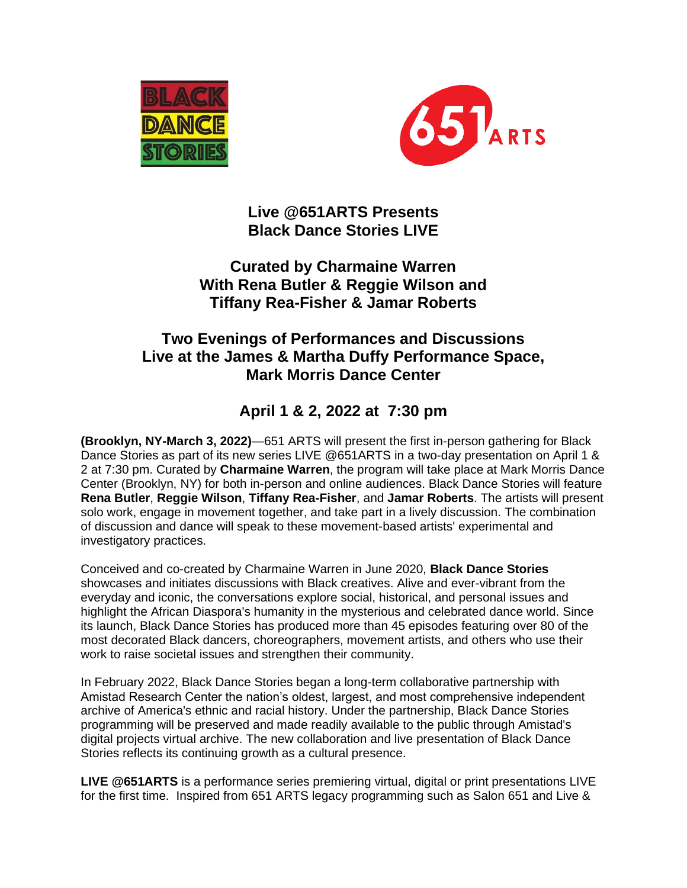



**Live @651ARTS Presents Black Dance Stories LIVE**

### **Curated by Charmaine Warren With Rena Butler & Reggie Wilson and Tiffany Rea-Fisher & Jamar Roberts**

## **Two Evenings of Performances and Discussions Live at the James & Martha Duffy Performance Space, Mark Morris Dance Center**

# **April 1 & 2, 2022 at 7:30 pm**

**(Brooklyn, NY-March 3, 2022)**—651 ARTS will present the first in-person gathering for Black Dance Stories as part of its new series LIVE @651ARTS in a two-day presentation on April 1 & 2 at 7:30 pm. Curated by **Charmaine Warren**, the program will take place at Mark Morris Dance Center (Brooklyn, NY) for both in-person and online audiences. Black Dance Stories will feature **Rena Butler**, **Reggie Wilson**, **Tiffany Rea-Fisher**, and **Jamar Roberts**. The artists will present solo work, engage in movement together, and take part in a lively discussion. The combination of discussion and dance will speak to these movement-based artists' experimental and investigatory practices.

Conceived and co-created by Charmaine Warren in June 2020, **Black Dance Stories** showcases and initiates discussions with Black creatives. Alive and ever-vibrant from the everyday and iconic, the conversations explore social, historical, and personal issues and highlight the African Diaspora's humanity in the mysterious and celebrated dance world. Since its launch, Black Dance Stories has produced more than 45 episodes featuring over 80 of the most decorated Black dancers, choreographers, movement artists, and others who use their work to raise societal issues and strengthen their community.

In February 2022, Black Dance Stories began a long-term collaborative partnership with Amistad Research Center the nation's oldest, largest, and most comprehensive independent archive of America's ethnic and racial history. Under the partnership, Black Dance Stories programming will be preserved and made readily available to the public through Amistad's digital projects virtual archive. The new collaboration and live presentation of Black Dance Stories reflects its continuing growth as a cultural presence.

**LIVE @651ARTS** is a performance series premiering virtual, digital or print presentations LIVE for the first time. Inspired from 651 ARTS legacy programming such as Salon 651 and Live &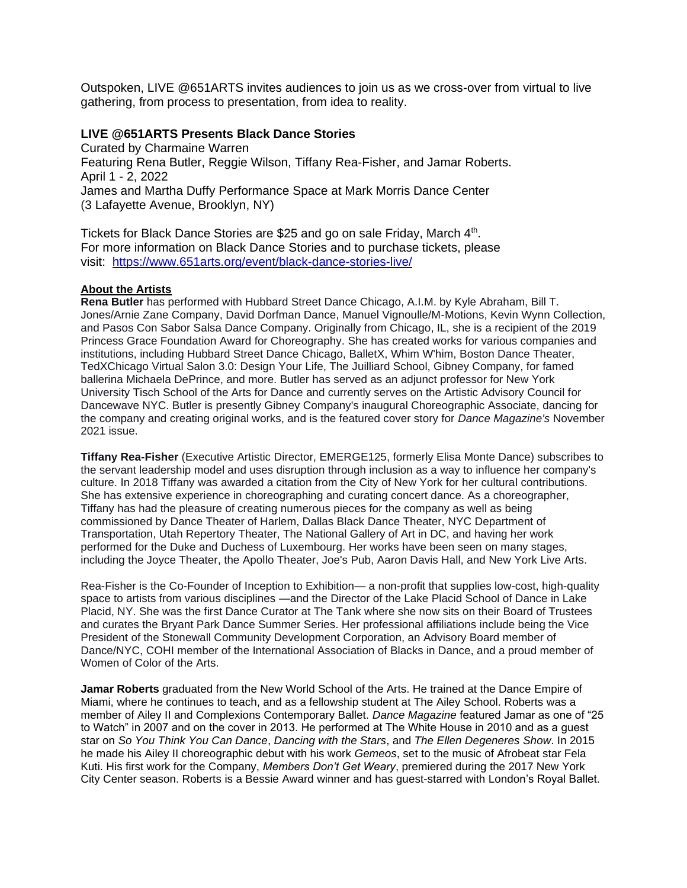Outspoken, LIVE @651ARTS invites audiences to join us as we cross-over from virtual to live gathering, from process to presentation, from idea to reality.

#### **LIVE @651ARTS Presents Black Dance Stories**

Curated by Charmaine Warren Featuring Rena Butler, Reggie Wilson, Tiffany Rea-Fisher, and Jamar Roberts. April 1 - 2, 2022 James and Martha Duffy Performance Space at Mark Morris Dance Center (3 Lafayette Avenue, Brooklyn, NY)

Tickets for Black Dance Stories are \$25 and go on sale Friday, March 4<sup>th</sup>. For more information on Black Dance Stories and to purchase tickets, please visit: <https://www.651arts.org/event/black-dance-stories-live/>

#### **About the Artists**

**Rena Butler** has performed with Hubbard Street Dance Chicago, A.I.M. by Kyle Abraham, Bill T. Jones/Arnie Zane Company, David Dorfman Dance, Manuel Vignoulle/M-Motions, Kevin Wynn Collection, and Pasos Con Sabor Salsa Dance Company. Originally from Chicago, IL, she is a recipient of the 2019 Princess Grace Foundation Award for Choreography. She has created works for various companies and institutions, including Hubbard Street Dance Chicago, BalletX, Whim W'him, Boston Dance Theater, TedXChicago Virtual Salon 3.0: Design Your Life, The Juilliard School, Gibney Company, for famed ballerina Michaela DePrince, and more. Butler has served as an adjunct professor for New York University Tisch School of the Arts for Dance and currently serves on the Artistic Advisory Council for Dancewave NYC. Butler is presently Gibney Company's inaugural Choreographic Associate, dancing for the company and creating original works, and is the featured cover story for *Dance Magazine's* November 2021 issue.

**Tiffany Rea-Fisher** (Executive Artistic Director, EMERGE125, formerly Elisa Monte Dance) subscribes to the servant leadership model and uses disruption through inclusion as a way to influence her company's culture. In 2018 Tiffany was awarded a citation from the City of New York for her cultural contributions. She has extensive experience in choreographing and curating concert dance. As a choreographer, Tiffany has had the pleasure of creating numerous pieces for the company as well as being commissioned by Dance Theater of Harlem, Dallas Black Dance Theater, NYC Department of Transportation, Utah Repertory Theater, The National Gallery of Art in DC, and having her work performed for the Duke and Duchess of Luxembourg. Her works have been seen on many stages, including the Joyce Theater, the Apollo Theater, Joe's Pub, Aaron Davis Hall, and New York Live Arts.

Rea-Fisher is the Co-Founder of Inception to Exhibition— a non-profit that supplies low-cost, high-quality space to artists from various disciplines —and the Director of the Lake Placid School of Dance in Lake Placid, NY. She was the first Dance Curator at The Tank where she now sits on their Board of Trustees and curates the Bryant Park Dance Summer Series. Her professional affiliations include being the Vice President of the Stonewall Community Development Corporation, an Advisory Board member of Dance/NYC, COHI member of the International Association of Blacks in Dance, and a proud member of Women of Color of the Arts.

**Jamar Roberts** graduated from the New World School of the Arts. He trained at the Dance Empire of Miami, where he continues to teach, and as a fellowship student at The Ailey School. Roberts was a member of Ailey II and Complexions Contemporary Ballet. *Dance Magazine* featured Jamar as one of "25 to Watch" in 2007 and on the cover in 2013. He performed at The White House in 2010 and as a guest star on *So You Think You Can Dance*, *Dancing with the Stars*, and *The Ellen Degeneres Show*. In 2015 he made his Ailey II choreographic debut with his work *Gemeos*, set to the music of Afrobeat star Fela Kuti. His first work for the Company, *Members Don't Get Weary*, premiered during the 2017 New York City Center season. Roberts is a Bessie Award winner and has guest-starred with London's Royal Ballet.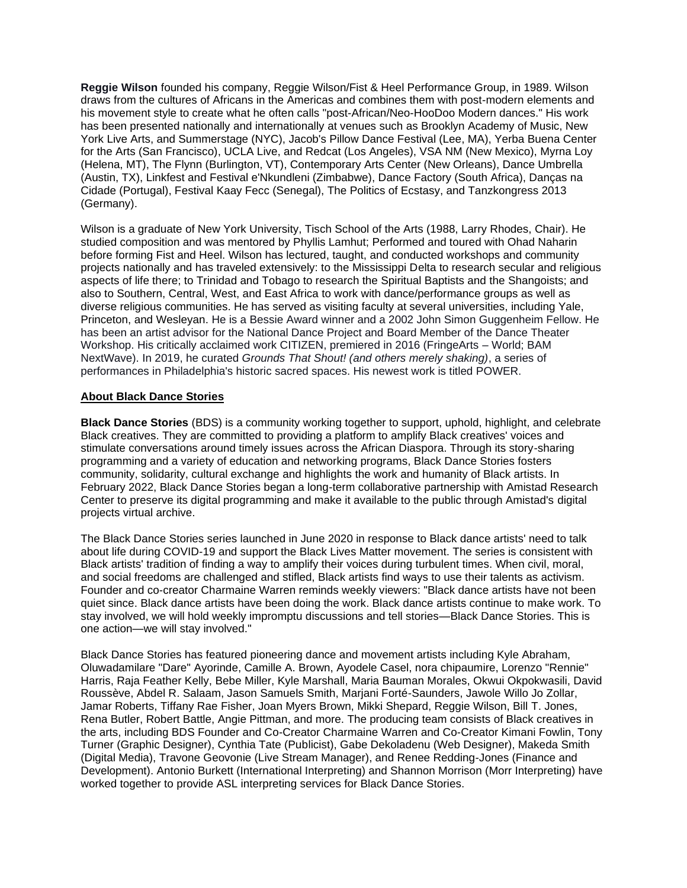**Reggie Wilson** founded his company, Reggie Wilson/Fist & Heel Performance Group, in 1989. Wilson draws from the cultures of Africans in the Americas and combines them with post-modern elements and his movement style to create what he often calls "post-African/Neo-HooDoo Modern dances." His work has been presented nationally and internationally at venues such as Brooklyn Academy of Music, New York Live Arts, and Summerstage (NYC), Jacob's Pillow Dance Festival (Lee, MA), Yerba Buena Center for the Arts (San Francisco), UCLA Live, and Redcat (Los Angeles), VSA NM (New Mexico), Myrna Loy (Helena, MT), The Flynn (Burlington, VT), Contemporary Arts Center (New Orleans), Dance Umbrella (Austin, TX), Linkfest and Festival e'Nkundleni (Zimbabwe), Dance Factory (South Africa), Danças na Cidade (Portugal), Festival Kaay Fecc (Senegal), The Politics of Ecstasy, and Tanzkongress 2013 (Germany).

Wilson is a graduate of New York University, Tisch School of the Arts (1988, Larry Rhodes, Chair). He studied composition and was mentored by Phyllis Lamhut; Performed and toured with Ohad Naharin before forming Fist and Heel. Wilson has lectured, taught, and conducted workshops and community projects nationally and has traveled extensively: to the Mississippi Delta to research secular and religious aspects of life there; to Trinidad and Tobago to research the Spiritual Baptists and the Shangoists; and also to Southern, Central, West, and East Africa to work with dance/performance groups as well as diverse religious communities. He has served as visiting faculty at several universities, including Yale, Princeton, and Wesleyan. He is a Bessie Award winner and a 2002 John Simon Guggenheim Fellow. He has been an artist advisor for the National Dance Project and Board Member of the Dance Theater Workshop. His critically acclaimed work CITIZEN, premiered in 2016 (FringeArts – World; BAM NextWave). In 2019, he curated *Grounds That Shout! (and others merely shaking)*, a series of performances in Philadelphia's historic sacred spaces. His newest work is titled POWER.

#### **About Black Dance Stories**

**Black Dance Stories** (BDS) is a community working together to support, uphold, highlight, and celebrate Black creatives. They are committed to providing a platform to amplify Black creatives' voices and stimulate conversations around timely issues across the African Diaspora. Through its story-sharing programming and a variety of education and networking programs, Black Dance Stories fosters community, solidarity, cultural exchange and highlights the work and humanity of Black artists. In February 2022, Black Dance Stories began a long-term collaborative partnership with Amistad Research Center to preserve its digital programming and make it available to the public through Amistad's digital projects virtual archive.

The Black Dance Stories series launched in June 2020 in response to Black dance artists' need to talk about life during COVID-19 and support the Black Lives Matter movement. The series is consistent with Black artists' tradition of finding a way to amplify their voices during turbulent times. When civil, moral, and social freedoms are challenged and stifled, Black artists find ways to use their talents as activism. Founder and co-creator Charmaine Warren reminds weekly viewers: "Black dance artists have not been quiet since. Black dance artists have been doing the work. Black dance artists continue to make work. To stay involved, we will hold weekly impromptu discussions and tell stories—Black Dance Stories. This is one action—we will stay involved."

Black Dance Stories has featured pioneering dance and movement artists including Kyle Abraham, Oluwadamilare "Dare" Ayorinde, Camille A. Brown, Ayodele Casel, nora chipaumire, Lorenzo "Rennie" Harris, Raja Feather Kelly, Bebe Miller, Kyle Marshall, Maria Bauman Morales, Okwui Okpokwasili, David Roussève, Abdel R. Salaam, Jason Samuels Smith, Marjani Forté-Saunders, Jawole Willo Jo Zollar, Jamar Roberts, Tiffany Rae Fisher, Joan Myers Brown, Mikki Shepard, Reggie Wilson, Bill T. Jones, Rena Butler, Robert Battle, Angie Pittman, and more. The producing team consists of Black creatives in the arts, including BDS Founder and Co-Creator Charmaine Warren and Co-Creator Kimani Fowlin, Tony Turner (Graphic Designer), Cynthia Tate (Publicist), Gabe Dekoladenu (Web Designer), Makeda Smith (Digital Media), Travone Geovonie (Live Stream Manager), and Renee Redding-Jones (Finance and Development). Antonio Burkett (International Interpreting) and Shannon Morrison (Morr Interpreting) have worked together to provide ASL interpreting services for Black Dance Stories.